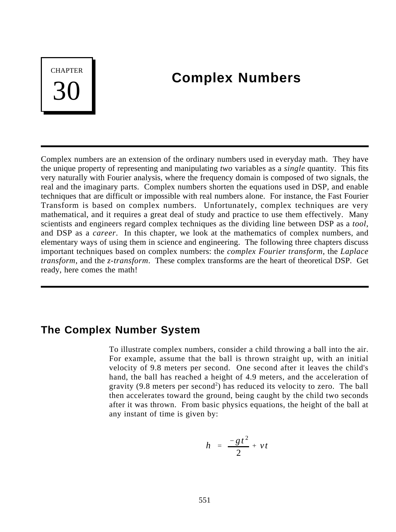# **CHAPTER** 30

## **Complex Numbers**

Complex numbers are an extension of the ordinary numbers used in everyday math. They have the unique property of representing and manipulating *two* variables as a *single* quantity. This fits very naturally with Fourier analysis, where the frequency domain is composed of two signals, the real and the imaginary parts. Complex numbers shorten the equations used in DSP, and enable techniques that are difficult or impossible with real numbers alone. For instance, the Fast Fourier Transform is based on complex numbers. Unfortunately, complex techniques are very mathematical, and it requires a great deal of study and practice to use them effectively. Many scientists and engineers regard complex techniques as the dividing line between DSP as a *tool*, and DSP as a *career*. In this chapter, we look at the mathematics of complex numbers, and elementary ways of using them in science and engineering. The following three chapters discuss important techniques based on complex numbers: the *complex Fourier transform*, the *Laplace transform*, and the *z-transform*. These complex transforms are the heart of theoretical DSP. Get ready, here comes the math!

## **The Complex Number System**

To illustrate complex numbers, consider a child throwing a ball into the air. For example, assume that the ball is thrown straight up, with an initial velocity of 9.8 meters per second. One second after it leaves the child's hand, the ball has reached a height of 4.9 meters, and the acceleration of gravity  $(9.8 \text{ meters per second}^2)$  has reduced its velocity to zero. The ball then accelerates toward the ground, being caught by the child two seconds after it was thrown. From basic physics equations, the height of the ball at any instant of time is given by:

$$
h = \frac{-gt^2}{2} + vt
$$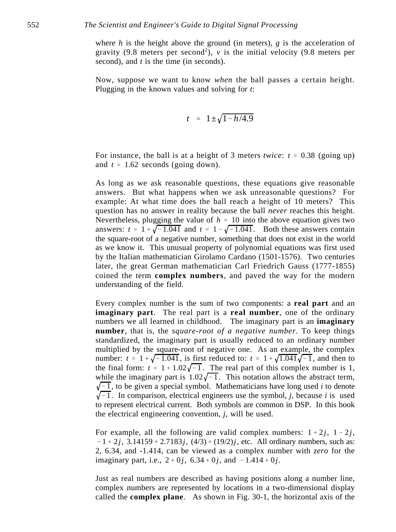where *h* is the height above the ground (in meters), *g* is the acceleration of gravity (9.8 meters per second<sup>2</sup>),  $v$  is the initial velocity (9.8 meters per second), and *t* is the time (in seconds).

Now, suppose we want to know *when* the ball passes a certain height. Plugging in the known values and solving for *t*:

$$
t = 1 \pm \sqrt{1 - h/4.9}
$$

For instance, the ball is at a height of 3 meters *twice*:  $t = 0.38$  (going up) and  $t = 1.62$  seconds (going down).

As long as we ask reasonable questions, these equations give reasonable answers. But what happens when we ask unreasonable questions? For example: At what time does the ball reach a height of 10 meters? This question has no answer in reality because the ball *never* reaches this height. Nevertheless, plugging the value of  $h = 10$  into the above equation gives two answers:  $t = 1 + \sqrt{-1.041}$  and  $t = 1 - \sqrt{-1.041}$ . Both these answers contain the square-root of a negative number, something that does not exist in the world as we know it. This unusual property of polynomial equations was first used by the Italian mathematician Girolamo Cardano (1501-1576). Two centuries later, the great German mathematician Carl Friedrich Gauss (1777-1855) coined the term **complex numbers**, and paved the way for the modern understanding of the field.

Every complex number is the sum of two components: a **real part** and an **imaginary part**. The real part is a **real number**, one of the ordinary numbers we all learned in childhood. The imaginary part is an **imaginary number**, that is, the *square-root of a negative number*. To keep things standardized, the imaginary part is usually reduced to an ordinary number multiplied by the square-root of negative one. As an example, the complex number:  $t = 1 + \sqrt{-1.041}$ , is first reduced to:  $t = 1 + \sqrt{1.041}\sqrt{-1}$ , and then to the final form:  $t = 1 + 1.02\sqrt{-1}$ . The real part of this complex number is 1, while the imaginary part is  $1.02\sqrt{-1}$ . This notation allows the abstract term,  $\sqrt{-1}$ , to be given a special symbol. Mathematicians have long used *i* to denote  $\sqrt{-1}$ . In comparison, electrical engineers use the symbol, *j*, because *i* is used to represent electrical current. Both symbols are common in DSP. In this book the electrical engineering convention, *j*, will be used.

For example, all the following are valid complex numbers:  $1 + 2j$ ,  $1 - 2j$ ,  $-1 + 2j$ , 3.14159 + 2.7183 *j*, (4/3) + (19/2) *j*, etc. All ordinary numbers, such as: 2, 6.34, and -1.414, can be viewed as a complex number with *zero* for the imaginary part, i.e.,  $2 + 0j$ ,  $6.34 + 0j$ , and  $-1.414 + 0j$ .

Just as real numbers are described as having positions along a number line, complex numbers are represented by locations in a two-dimensional display called the **complex plane**. As shown in Fig. 30-1, the horizontal axis of the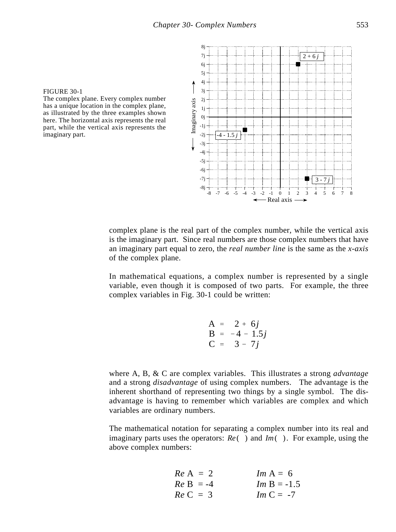#### FIGURE 30-1

The complex plane. Every complex number has a unique location in the complex plane, as illustrated by the three examples shown here. The horizontal axis represents the real part, while the vertical axis represents the imaginary part.



complex plane is the real part of the complex number, while the vertical axis is the imaginary part. Since real numbers are those complex numbers that have an imaginary part equal to zero, the *real number line* is the same as the *x-axis* of the complex plane.

In mathematical equations, a complex number is represented by a single variable, even though it is composed of two parts. For example, the three complex variables in Fig. 30-1 could be written:

$$
A = 2 + 6j \n B = -4 - 1.5j \n C = 3 - 7j
$$

where A, B, & C are complex variables. This illustrates a strong *advantage* and a strong *disadvantage* of using complex numbers. The advantage is the inherent shorthand of representing two things by a single symbol. The disadvantage is having to remember which variables are complex and which variables are ordinary numbers.

The mathematical notation for separating a complex number into its real and imaginary parts uses the operators: *Re* () and *Im*(). For example, using the above complex numbers:

| $Re \, A = 2$  | $Im \, A = 6$    |
|----------------|------------------|
| $Re \, B = -4$ | $Im \, B = -1.5$ |
| $Re \, C = 3$  | $Im \, C = -7$   |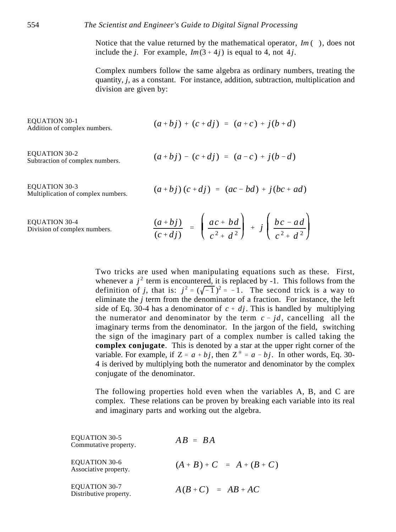Notice that the value returned by the mathematical operator, *Im* ( ), does not include the *j*. For example,  $Im(3 + 4j)$  is equal to 4, not 4*j*.

Complex numbers follow the same algebra as ordinary numbers, treating the quantity, *j*, as a constant. For instance, addition, subtraction, multiplication and division are given by:

EQUATION 30-1  
Addition of complex numbers. 
$$
(a + bj) + (c + dj) = (a + c) + j(b + d)
$$

EQUATION 30-2 Subtraction of complex numbers.

$$
(a + bj) - (c + dj) = (a - c) + j(b - d)
$$

EQUATION 30-3 Multiplication of complex numbers.

$$
(a + bj)(c + dj) = (ac - bd) + j(bc + ad)
$$

EQUATION 30-4 Division of complex numbers.

$$
\frac{(a+bj)}{(c+dj)} = \left(\frac{ac+bd}{c^2+d^2}\right) + j\left(\frac{bc-ad}{c^2+d^2}\right)
$$

Two tricks are used when manipulating equations such as these. First, whenever a  $j^2$  term is encountered, it is replaced by -1. This follows from the definition of *j*, that is:  $j^2 = (\sqrt{-1})^2 = -1$ . The second trick is a way to eliminate the *j* term from the denominator of a fraction. For instance, the left side of Eq. 30-4 has a denominator of  $c + dj$ . This is handled by multiplying the numerator and denominator by the term  $c - id$ , cancelling all the imaginary terms from the denominator. In the jargon of the field, switching the sign of the imaginary part of a complex number is called taking the **complex conjugate**. This is denoted by a star at the upper right corner of the variable. For example, if  $Z = a + bj$ , then  $Z^* = a - bj$ . In other words, Eq. 30-4 is derived by multiplying both the numerator and denominator by the complex conjugate of the denominator.

The following properties hold even when the variables A, B, and C are complex. These relations can be proven by breaking each variable into its real and imaginary parts and working out the algebra.

 $AB = BA$ EQUATION 30-5 Commutative property. EQUATION 30-6 Associative property. EQUATION 30-7 Distributive property.  $(A + B) + C = A + (B + C)$  $A(B+C) = AB+AC$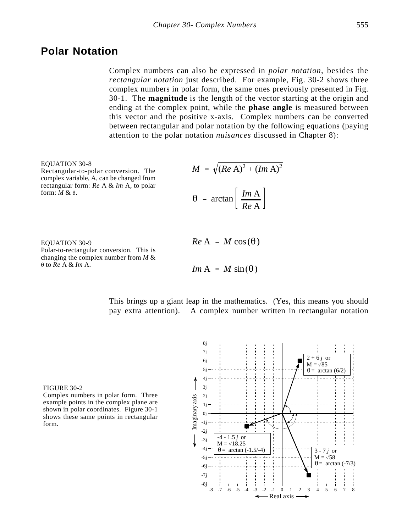## **Polar Notation**

Complex numbers can also be expressed in *polar notation*, besides the *rectangular notation* just described. For example, Fig. 30-2 shows three complex numbers in polar form, the same ones previously presented in Fig. 30-1. The **magnitude** is the length of the vector starting at the origin and ending at the complex point, while the **phase angle** is measured between this vector and the positive x-axis. Complex numbers can be converted between rectangular and polar notation by the following equations (paying attention to the polar notation *nuisances* discussed in Chapter 8):

EQUATION 30-8 Rectangular-to-polar conversion. The complex variable, A, can be changed from rectangular form: *Re* A & *Im* A, to polar form:  $M \& \theta$ .

EQUATION 30-9 Polar-to-rectangular conversion. This is changing the complex number from *M* &  $\theta$  to  $\overline{Re}$  A & *Im* A.

$$
M = \sqrt{(Re \text{ A})^2 + (Im \text{ A})^2}
$$

$$
\theta = \arctan\left[\frac{Im \text{ A}}{Re \text{ A}}\right]
$$

 $Re A = M cos(\theta)$ 

*Im* A = *M* sin( $\theta$ )

This brings up a giant leap in the mathematics. (Yes, this means you should pay extra attention). A complex number written in rectangular notation



Complex numbers in polar form. Three example points in the complex plane are shown in polar coordinates. Figure 30-1 shows these same points in rectangular form.

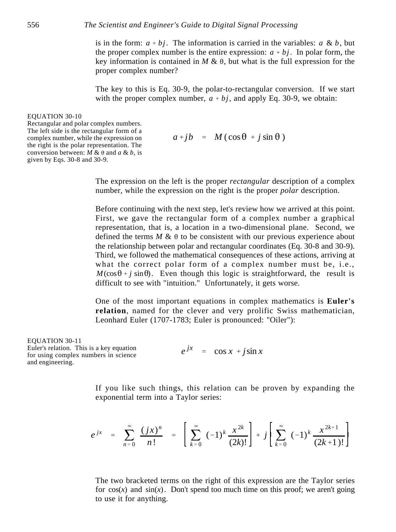is in the form:  $a + bj$ . The information is carried in the variables:  $a \& b$ , but the proper complex number is the entire expression:  $a + bj$ . In polar form, the key information is contained in  $M \& \theta$ , but what is the full expression for the proper complex number?

The key to this is Eq. 30-9, the polar-to-rectangular conversion. If we start with the proper complex number,  $a + bj$ , and apply Eq. 30-9, we obtain:

#### EQUATION 30-10

Rectangular and polar complex numbers. The left side is the rectangular form of a complex number, while the expression on the right is the polar representation. The conversion between:  $M \& \theta$  and  $a \& b$ , is given by Eqs. 30-8 and 30-9.

 $a + ib = M(\cos\theta + i\sin\theta)$ 

The expression on the left is the proper *rectangular* description of a complex number, while the expression on the right is the proper *polar* description.

Before continuing with the next step, let's review how we arrived at this point. First, we gave the rectangular form of a complex number a graphical representation, that is, a location in a two-dimensional plane. Second, we defined the terms  $M \& \theta$  to be consistent with our previous experience about the relationship between polar and rectangular coordinates (Eq. 30-8 and 30-9). Third, we followed the mathematical consequences of these actions, arriving at what the correct polar form of a complex number must be, i.e.,  $M(\cos\theta + j \sin\theta)$ . Even though this logic is straightforward, the result is difficult to see with "intuition." Unfortunately, it gets worse.

One of the most important equations in complex mathematics is **Euler's relation**, named for the clever and very prolific Swiss mathematician, Leonhard Euler (1707-1783; Euler is pronounced: "Oiler"):

EQUATION 30-11 Euler's relation. This is a key equation for using complex numbers in science and engineering.

 $e^{jx}$  =  $\cos x + j\sin x$ 

If you like such things, this relation can be proven by expanding the exponential term into a Taylor series:

$$
e^{jx} = \sum_{n=0}^{\infty} \frac{(jx)^n}{n!} = \left[ \sum_{k=0}^{\infty} (-1)^k \frac{x^{2k}}{(2k)!} \right] + j \left[ \sum_{k=0}^{\infty} (-1)^k \frac{x^{2k+1}}{(2k+1)!} \right]
$$

The two bracketed terms on the right of this expression are the Taylor series for  $cos(x)$  and  $sin(x)$ . Don't spend too much time on this proof; we aren't going to use it for anything.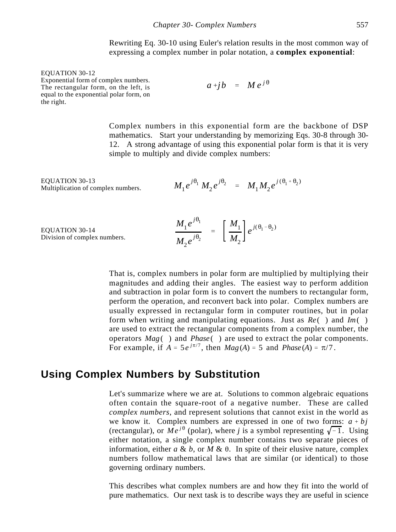Rewriting Eq. 30-10 using Euler's relation results in the most common way of expressing a complex number in polar notation, a **complex exponential**:

EQUATION 30-12 Exponential form of complex numbers. The rectangular form, on the left, is equal to the exponential polar form, on the right.

 $a + jb = Me^{j\theta}$ 

Complex numbers in this exponential form are the backbone of DSP mathematics. Start your understanding by memorizing Eqs. 30-8 through 30- 12. A strong advantage of using this exponential polar form is that it is very simple to multiply and divide complex numbers:

EQUATION 30-13 Multiplication of complex numbers.

$$
M_1 e^{j\theta_1} M_2 e^{j\theta_2} = M_1 M_2 e^{j(\theta_1 + \theta_2)}
$$

EQUATION 30-14 Division of complex numbers.

$$
\frac{M_1 e^{j\theta_1}}{M_2 e^{j\theta_2}} = \left[\frac{M_1}{M_2}\right] e^{j(\theta_1 - \theta_2)}
$$

That is, complex numbers in polar form are multiplied by multiplying their magnitudes and adding their angles. The easiest way to perform addition and subtraction in polar form is to convert the numbers to rectangular form, perform the operation, and reconvert back into polar. Complex numbers are usually expressed in rectangular form in computer routines, but in polar form when writing and manipulating equations. Just as  $Re()$  and  $Im()$ are used to extract the rectangular components from a complex number, the operators *Mag* ( ) and *Phase* ( ) are used to extract the polar components. For example, if  $A = 5e^{j\pi/7}$ , then  $Mag(A) = 5$  and  $Phase(A) = \pi/7$ .

## **Using Complex Numbers by Substitution**

Let's summarize where we are at. Solutions to common algebraic equations often contain the square-root of a negative number. These are called *complex numbers*, and represent solutions that cannot exist in the world as we know it. Complex numbers are expressed in one of two forms:  $a + bj$ (rectangular), or  $Me^{j\theta}$  (polar), where *j* is a symbol representing  $\sqrt{-1}$ . Using either notation, a single complex number contains two separate pieces of information, either  $a \& b$ , or  $M \& \theta$ . In spite of their elusive nature, complex numbers follow mathematical laws that are similar (or identical) to those governing ordinary numbers.

This describes what complex numbers are and how they fit into the world of pure mathematics. Our next task is to describe ways they are useful in science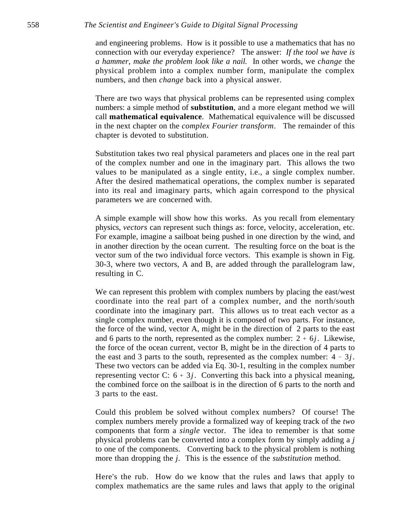#### 558 *The Scientist and Engineer's Guide to Digital Signal Processing*

and engineering problems. How is it possible to use a mathematics that has no connection with our everyday experience? The answer: *If the tool we have is a hammer, make the problem look like a nail.* In other words, we *change* the physical problem into a complex number form, manipulate the complex numbers, and then *change* back into a physical answer.

There are two ways that physical problems can be represented using complex numbers: a simple method of **substitution**, and a more elegant method we will call **mathematical equivalence**. Mathematical equivalence will be discussed in the next chapter on the *complex Fourier transform*. The remainder of this chapter is devoted to substitution.

Substitution takes two real physical parameters and places one in the real part of the complex number and one in the imaginary part. This allows the two values to be manipulated as a single entity, i.e., a single complex number. After the desired mathematical operations, the complex number is separated into its real and imaginary parts, which again correspond to the physical parameters we are concerned with.

A simple example will show how this works. As you recall from elementary physics, *vectors* can represent such things as: force, velocity, acceleration, etc. For example, imagine a sailboat being pushed in one direction by the wind, and in another direction by the ocean current. The resulting force on the boat is the vector sum of the two individual force vectors. This example is shown in Fig. 30-3, where two vectors, A and B, are added through the parallelogram law, resulting in C.

We can represent this problem with complex numbers by placing the east/west coordinate into the real part of a complex number, and the north/south coordinate into the imaginary part. This allows us to treat each vector as a single complex number, even though it is composed of two parts. For instance, the force of the wind, vector A, might be in the direction of 2 parts to the east and 6 parts to the north, represented as the complex number:  $2 + 6j$ . Likewise, the force of the ocean current, vector B, might be in the direction of 4 parts to the east and 3 parts to the south, represented as the complex number:  $4 - 3j$ . These two vectors can be added via Eq. 30-1, resulting in the complex number representing vector C:  $6 + 3j$ . Converting this back into a physical meaning, the combined force on the sailboat is in the direction of 6 parts to the north and 3 parts to the east.

Could this problem be solved without complex numbers? Of course! The complex numbers merely provide a formalized way of keeping track of the *two* components that form a *single* vector. The idea to remember is that some physical problems can be converted into a complex form by simply adding a *j* to one of the components. Converting back to the physical problem is nothing more than dropping the *j*. This is the essence of the *substitution* method.

Here's the rub. How do we know that the rules and laws that apply to complex mathematics are the same rules and laws that apply to the original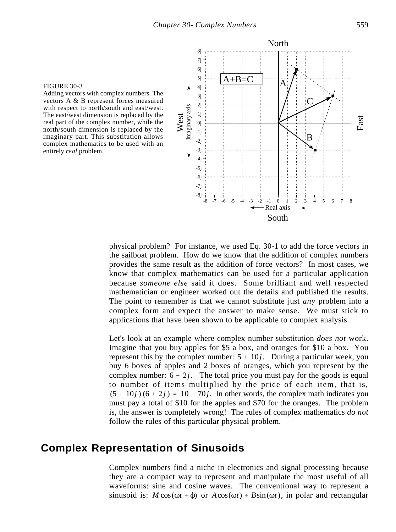

Adding vectors with complex numbers. The vectors A & B represent forces measured with respect to north/south and east/west. The east/west dimension is replaced by the real part of the complex number, while the north/south dimension is replaced by the imaginary part. This substitution allows complex mathematics to be used with an entirely *real* problem.



physical problem? For instance, we used Eq. 30-1 to add the force vectors in the sailboat problem. How do we know that the addition of complex numbers provides the same result as the addition of force vectors? In most cases, we know that complex mathematics can be used for a particular application because *someone else* said it does. Some brilliant and well respected mathematician or engineer worked out the details and published the results. The point to remember is that we cannot substitute just *any* problem into a complex form and expect the answer to make sense. We must stick to applications that have been shown to be applicable to complex analysis.

Let's look at an example where complex number substitution *does not* work. Imagine that you buy apples for \$5 a box, and oranges for \$10 a box. You represent this by the complex number:  $5 + 10j$ . During a particular week, you buy 6 boxes of apples and 2 boxes of oranges, which you represent by the complex number:  $6 + 2j$ . The total price you must pay for the goods is equal to number of items multiplied by the price of each item, that is,  $(5 + 10j) (6 + 2j) = 10 + 70j$ . In other words, the complex math indicates you must pay a total of \$10 for the apples and \$70 for the oranges. The problem is, the answer is completely wrong! The rules of complex mathematics *do not* follow the rules of this particular physical problem.

## **Complex Representation of Sinusoids**

Complex numbers find a niche in electronics and signal processing because they are a compact way to represent and manipulate the most useful of all waveforms: sine and cosine waves. The conventional way to represent a sinusoid is:  $M \cos(\omega t + \phi)$  or  $A \cos(\omega t) + B \sin(\omega t)$ , in polar and rectangular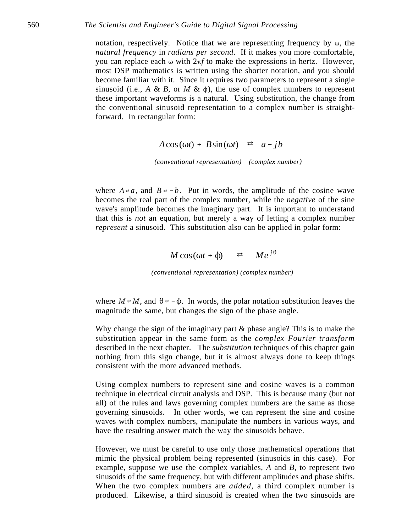notation, respectively. Notice that we are representing frequency by  $\omega$ , the *natural frequency* in *radians per second*. If it makes you more comfortable, you can replace each  $\omega$  with  $2\pi f$  to make the expressions in hertz. However, most DSP mathematics is written using the shorter notation, and you should become familiar with it. Since it requires two parameters to represent a single sinusoid (i.e.,  $A \& B$ , or  $M \& \phi$ ), the use of complex numbers to represent these important waveforms is a natural. Using substitution, the change from the conventional sinusoid representation to a complex number is straightforward. In rectangular form:

 $A\cos(\omega t) + B\sin(\omega t) \neq a + jb$ 

*(conventional representation) (complex number)*

where  $A \neq a$ , and  $B \neq b$ . Put in words, the amplitude of the cosine wave becomes the real part of the complex number, while the *negative* of the sine wave's amplitude becomes the imaginary part. It is important to understand that this is *not* an equation, but merely a way of letting a complex number *represent* a sinusoid. This substitution also can be applied in polar form:

$$
M\cos(\omega t+\phi) \quad \rightleftarrows \quad Me^{j\theta}
$$

*(conventional representation) (complex number)*

where  $M \neq M$ , and  $\theta \neq -\phi$ . In words, the polar notation substitution leaves the magnitude the same, but changes the sign of the phase angle.

Why change the sign of the imaginary part  $\&$  phase angle? This is to make the substitution appear in the same form as the *complex Fourier transform* described in the next chapter. The *substitution* techniques of this chapter gain nothing from this sign change, but it is almost always done to keep things consistent with the more advanced methods.

Using complex numbers to represent sine and cosine waves is a common technique in electrical circuit analysis and DSP. This is because many (but not all) of the rules and laws governing complex numbers are the same as those governing sinusoids. In other words, we can represent the sine and cosine waves with complex numbers, manipulate the numbers in various ways, and have the resulting answer match the way the sinusoids behave.

However, we must be careful to use only those mathematical operations that mimic the physical problem being represented (sinusoids in this case). For example, suppose we use the complex variables, *A* and *B*, to represent two sinusoids of the same frequency, but with different amplitudes and phase shifts. When the two complex numbers are *added*, a third complex number is produced. Likewise, a third sinusoid is created when the two sinusoids are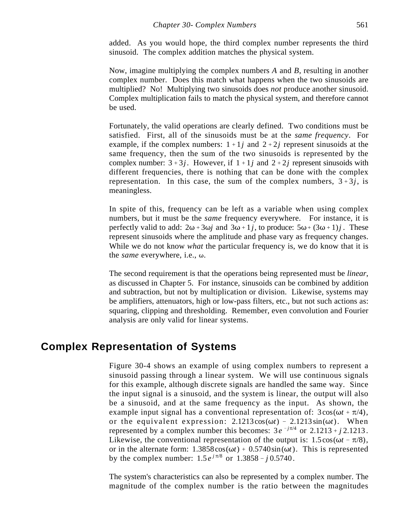added. As you would hope, the third complex number represents the third sinusoid. The complex addition matches the physical system.

Now, imagine multiplying the complex numbers *A* and *B*, resulting in another complex number. Does this match what happens when the two sinusoids are multiplied? No! Multiplying two sinusoids does *not* produce another sinusoid. Complex multiplication fails to match the physical system, and therefore cannot be used.

Fortunately, the valid operations are clearly defined. Two conditions must be satisfied. First, all of the sinusoids must be at the *same frequency*. For example, if the complex numbers:  $1 + 1j$  and  $2 + 2j$  represent sinusoids at the same frequency, then the sum of the two sinusoids is represented by the complex number:  $3+3j$ . However, if  $1+1j$  and  $2+2j$  represent sinusoids with different frequencies, there is nothing that can be done with the complex representation. In this case, the sum of the complex numbers,  $3+3j$ , is meaningless.

In spite of this, frequency can be left as a variable when using complex numbers, but it must be the *same* frequency everywhere. For instance, it is perfectly valid to add:  $2\omega + 3\omega j$  and  $3\omega + 1j$ , to produce:  $5\omega + (3\omega + 1)j$ . These represent sinusoids where the amplitude and phase vary as frequency changes. While we do not know *what* the particular frequency is, we do know that it is the *same* everywhere, i.e., ω.

The second requirement is that the operations being represented must be *linear*, as discussed in Chapter 5. For instance, sinusoids can be combined by addition and subtraction, but not by multiplication or division. Likewise, systems may be amplifiers, attenuators, high or low-pass filters, etc., but not such actions as: squaring, clipping and thresholding. Remember, even convolution and Fourier analysis are only valid for linear systems.

## **Complex Representation of Systems**

Figure 30-4 shows an example of using complex numbers to represent a sinusoid passing through a linear system. We will use continuous signals for this example, although discrete signals are handled the same way. Since the input signal is a sinusoid, and the system is linear, the output will also be a sinusoid, and at the same frequency as the input. As shown, the example input signal has a conventional representation of:  $3\cos(\omega t + \pi/4)$ , or the equivalent expression:  $2.1213 \cos(\omega t) - 2.1213 \sin(\omega t)$ . When represented by a complex number this becomes:  $3e^{-j\pi/4}$  or  $2.1213 + j2.1213$ . Likewise, the conventional representation of the output is:  $1.5 \cos(\omega t - \pi/8)$ , or in the alternate form:  $1.3858 \cos(\omega t) + 0.5740 \sin(\omega t)$ . This is represented by the complex number:  $1.5 e^{j\pi/8}$  or  $1.3858 - j0.5740$ .

The system's characteristics can also be represented by a complex number. The magnitude of the complex number is the ratio between the magnitudes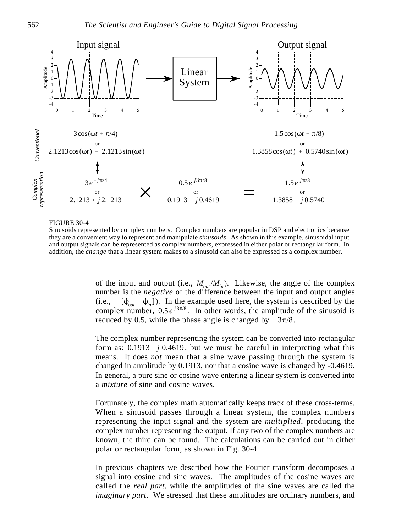

#### FIGURE 30-4

Sinusoids represented by complex numbers. Complex numbers are popular in DSP and electronics because they are a convenient way to represent and manipulate *sinusoids*. As shown in this example, sinusoidal input and output signals can be represented as complex numbers, expressed in either polar or rectangular form. In addition, the *change* that a linear system makes to a sinusoid can also be expressed as a complex number.

of the input and output (i.e.,  $M_{out}/M_{in}$ ). Likewise, the angle of the complex number is the *negative* of the difference between the input and output angles (i.e.,  $-$  [ $\phi$ <sub>out</sub>  $\phi$ <sub>in</sub>]). In the example used here, the system is described by the complex number,  $0.5 e^{j3\pi/8}$ . In other words, the amplitude of the sinusoid is reduced by 0.5, while the phase angle is changed by  $-3\pi/8$ .

The complex number representing the system can be converted into rectangular form as:  $0.1913 - j 0.4619$ , but we must be careful in interpreting what this means. It does *not* mean that a sine wave passing through the system is changed in amplitude by 0.1913, nor that a cosine wave is changed by -0.4619. In general, a pure sine or cosine wave entering a linear system is converted into a *mixture* of sine and cosine waves.

Fortunately, the complex math automatically keeps track of these cross-terms. When a sinusoid passes through a linear system, the complex numbers representing the input signal and the system are *multiplied*, producing the complex number representing the output. If any two of the complex numbers are known, the third can be found. The calculations can be carried out in either polar or rectangular form, as shown in Fig. 30-4.

In previous chapters we described how the Fourier transform decomposes a signal into cosine and sine waves. The amplitudes of the cosine waves are called the *real part*, while the amplitudes of the sine waves are called the *imaginary part*. We stressed that these amplitudes are ordinary numbers, and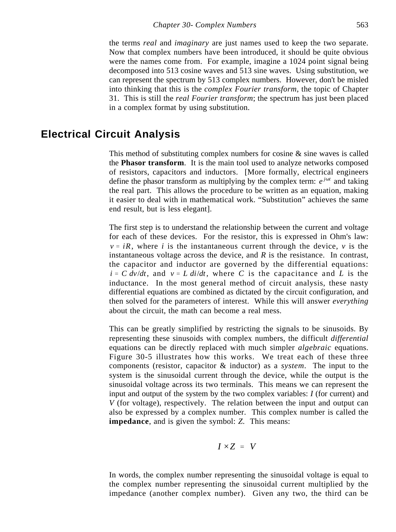the terms *real* and *imaginary* are just names used to keep the two separate. Now that complex numbers have been introduced, it should be quite obvious were the names come from. For example, imagine a 1024 point signal being decomposed into 513 cosine waves and 513 sine waves. Using substitution, we can represent the spectrum by 513 complex numbers. However, don't be misled into thinking that this is the *complex Fourier transform*, the topic of Chapter 31. This is still the *real Fourier transform*; the spectrum has just been placed in a complex format by using substitution.

## **Electrical Circuit Analysis**

This method of substituting complex numbers for cosine & sine waves is called the **Phasor transform**. It is the main tool used to analyze networks composed of resistors, capacitors and inductors. [More formally, electrical engineers define the phasor transform as multiplying by the complex term:  $e^{j\omega t}$  and taking the real part. This allows the procedure to be written as an equation, making it easier to deal with in mathematical work. "Substitution" achieves the same end result, but is less elegant].

The first step is to understand the relationship between the current and voltage for each of these devices. For the resistor, this is expressed in Ohm's law:  $v = iR$ , where *i* is the instantaneous current through the device, *v* is the instantaneous voltage across the device, and  $R$  is the resistance. In contrast, the capacitor and inductor are governed by the differential equations:  $i = C dv/dt$ , and  $v = L di/dt$ , where *C* is the capacitance and *L* is the inductance. In the most general method of circuit analysis, these nasty differential equations are combined as dictated by the circuit configuration, and then solved for the parameters of interest. While this will answer *everything* about the circuit, the math can become a real mess.

This can be greatly simplified by restricting the signals to be sinusoids. By representing these sinusoids with complex numbers, the difficult *differential* equations can be directly replaced with much simpler *algebraic* equations. Figure 30-5 illustrates how this works. We treat each of these three components (resistor, capacitor & inductor) as a *system*. The input to the system is the sinusoidal current through the device, while the output is the sinusoidal voltage across its two terminals. This means we can represent the input and output of the system by the two complex variables: *I* (for current) and *V* (for voltage), respectively. The relation between the input and output can also be expressed by a complex number. This complex number is called the **impedance**, and is given the symbol: *Z*. This means:

$$
I \times Z = V
$$

In words, the complex number representing the sinusoidal voltage is equal to the complex number representing the sinusoidal current multiplied by the impedance (another complex number). Given any two, the third can be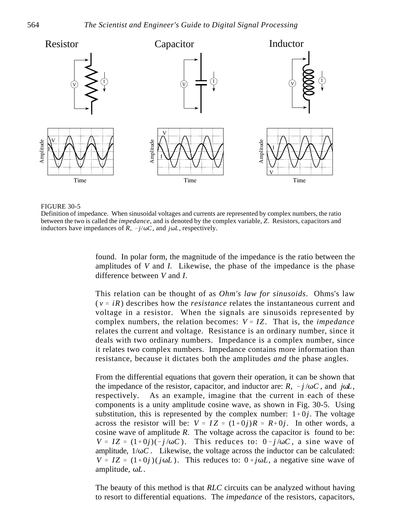

#### FIGURE 30-5

Definition of impedance. When sinusoidal voltages and currents are represented by complex numbers, the ratio between the two is called the *impedance*, and is denoted by the complex variable, *Z*. Resistors, capacitors and inductors have impedances of  $R$ ,  $-j/\omega C$ , and  $j\omega L$ , respectively.

found. In polar form, the magnitude of the impedance is the ratio between the amplitudes of *V* and *I.* Likewise, the phase of the impedance is the phase difference between *V* and *I*.

This relation can be thought of as *Ohm's law for sinusoids*. Ohms's law  $(v = iR)$  describes how the *resistance* relates the instantaneous current and voltage in a resistor. When the signals are sinusoids represented by complex numbers, the relation becomes:  $V = IZ$ . That is, the *impedance* relates the current and voltage. Resistance is an ordinary number, since it deals with two ordinary numbers. Impedance is a complex number, since it relates two complex numbers. Impedance contains more information than resistance, because it dictates both the amplitudes *and* the phase angles.

From the differential equations that govern their operation, it can be shown that the impedance of the resistor, capacitor, and inductor are:  $R$ ,  $-j/\omega C$ , and  $j\omega L$ , respectively. As an example, imagine that the current in each of these components is a unity amplitude cosine wave, as shown in Fig. 30-5. Using substitution, this is represented by the complex number:  $1+0j$ . The voltage across the resistor will be:  $V = IZ = (1+0j)R = R+0j$ . In other words, a cosine wave of amplitude *R*. The voltage across the capacitor is found to be:  $V = IZ = (1+0j)(-j/\omega C)$ . This reduces to:  $0-j/\omega C$ , a sine wave of amplitude,  $1/\omega C$ . Likewise, the voltage across the inductor can be calculated:  $V = IZ = (1+0j)(j\omega L)$ . This reduces to:  $0+j\omega L$ , a negative sine wave of amplitude, ωL.

The beauty of this method is that *RLC* circuits can be analyzed without having to resort to differential equations. The *impedance* of the resistors, capacitors,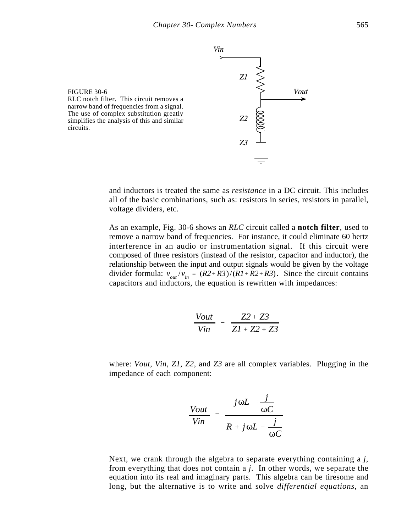

and inductors is treated the same as *resistance* in a DC circuit. This includes all of the basic combinations, such as: resistors in series, resistors in parallel, voltage dividers, etc.

As an example, Fig. 30-6 shows an *RLC* circuit called a **notch filter**, used to remove a narrow band of frequencies. For instance, it could eliminate 60 hertz interference in an audio or instrumentation signal. If this circuit were composed of three resistors (instead of the resistor, capacitor and inductor), the relationship between the input and output signals would be given by the voltage divider formula:  $v_{out}/v_{in} = (R2 + R3)/(R1 + R2 + R3)$ . Since the circuit contains capacitors and inductors, the equation is rewritten with impedances:

$$
\frac{Vout}{Vin} = \frac{Z2 + Z3}{Z1 + Z2 + Z3}
$$

where: *Vout*, *Vin*, *Z1*, *Z2*, and *Z3* are all complex variables. Plugging in the impedance of each component:

$$
\frac{V_{out}}{V_{in}} = \frac{j\omega L - \frac{j}{\omega C}}{R + j\omega L - \frac{j}{\omega C}}
$$

Next, we crank through the algebra to separate everything containing a *j*, from everything that does not contain a *j*. In other words, we separate the equation into its real and imaginary parts. This algebra can be tiresome and long, but the alternative is to write and solve *differential equations*, an